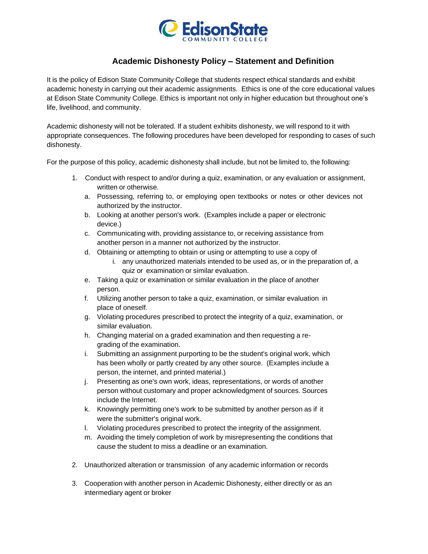

# **Academic Dishonesty Policy – Statement and Definition**

It is the policy of Edison State Community College that students respect ethical standards and exhibit academic honesty in carrying out their academic assignments. Ethics is one of the core educational values at Edison State Community College. Ethics is important not only in higher education but throughout one's life, livelihood, and community.

Academic dishonesty will not be tolerated. If a student exhibits dishonesty, we will respond to it with appropriate consequences. The following procedures have been developed for responding to cases of such dishonesty.

For the purpose of this policy, academic dishonesty shall include, but not be limited to, the following:

- 1. Conduct with respect to and/or during a quiz, examination, or any evaluation or assignment, written or otherwise.
	- a. Possessing, referring to, or employing open textbooks or notes or other devices not authorized by the instructor.
	- b. Looking at another person's work. (Examples include a paper or electronic device.)
	- c. Communicating with, providing assistance to, or receiving assistance from another person in a manner not authorized by the instructor.
	- d. Obtaining or attempting to obtain or using or attempting to use a copy of
		- i. any unauthorized materials intended to be used as, or in the preparation of, a quiz or examination or similar evaluation.
	- e. Taking a quiz or examination or similar evaluation in the place of another person.
	- f. Utilizing another person to take a quiz, examination, or similar evaluation in place of oneself.
	- g. Violating procedures prescribed to protect the integrity of a quiz, examination, or similar evaluation.
	- h. Changing material on a graded examination and then requesting a regrading of the examination.
	- i. Submitting an assignment purporting to be the student's original work, which has been wholly or partly created by any other source. (Examples include a person, the internet, and printed material.)
	- j. Presenting as one's own work, ideas, representations, or words of another person without customary and proper acknowledgment of sources. Sources include the Internet.
	- k. Knowingly permitting one's work to be submitted by another person as if it were the submitter's original work.
	- l. Violating procedures prescribed to protect the integrity of the assignment.
	- m. Avoiding the timely completion of work by misrepresenting the conditions that cause the student to miss a deadline or an examination.
- 2. Unauthorized alteration or transmission of any academic information or records
- 3. Cooperation with another person in Academic Dishonesty, either directly or as an intermediary agent or broker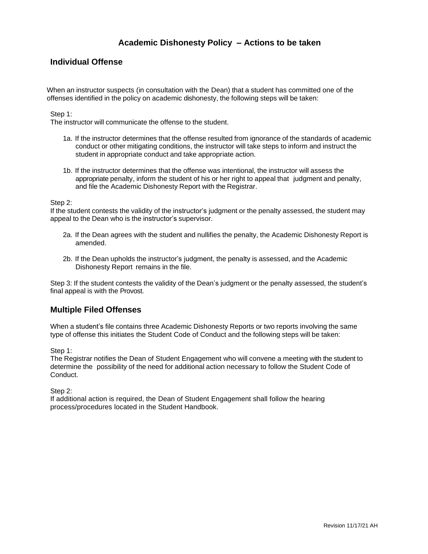## **Academic Dishonesty Policy – Actions to be taken**

### **Individual Offense**

When an instructor suspects (in consultation with the Dean) that a student has committed one of the offenses identified in the policy on academic dishonesty, the following steps will be taken:

Step 1:

The instructor will communicate the offense to the student.

- 1a. If the instructor determines that the offense resulted from ignorance of the standards of academic conduct or other mitigating conditions, the instructor will take steps to inform and instruct the student in appropriate conduct and take appropriate action.
- 1b. If the instructor determines that the offense was intentional, the instructor will assess the appropriate penalty, inform the student of his or her right to appeal that judgment and penalty, and file the Academic Dishonesty Report with the Registrar.

Step 2:

If the student contests the validity of the instructor's judgment or the penalty assessed, the student may appeal to the Dean who is the instructor's supervisor.

- 2a. If the Dean agrees with the student and nullifies the penalty, the Academic Dishonesty Report is amended.
- 2b. If the Dean upholds the instructor's judgment, the penalty is assessed, and the Academic Dishonesty Report remains in the file.

Step 3: If the student contests the validity of the Dean's judgment or the penalty assessed, the student's final appeal is with the Provost.

### **Multiple Filed Offenses**

When a student's file contains three Academic Dishonesty Reports or two reports involving the same type of offense this initiates the Student Code of Conduct and the following steps will be taken:

Step 1:

The Registrar notifies the Dean of Student Engagement who will convene a meeting with the student to determine the possibility of the need for additional action necessary to follow the Student Code of Conduct.

Step 2:

If additional action is required, the Dean of Student Engagement shall follow the hearing process/procedures located in the Student Handbook.